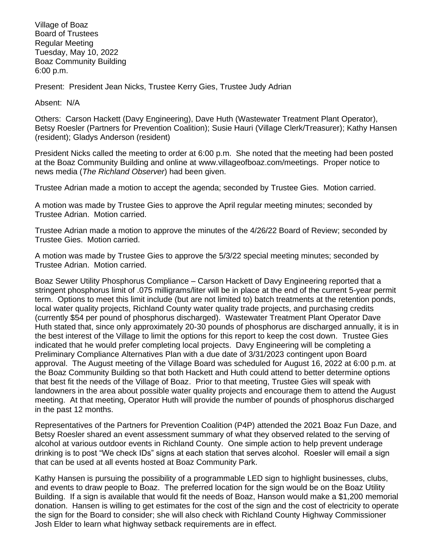Village of Boaz Board of Trustees Regular Meeting Tuesday, May 10, 2022 Boaz Community Building 6:00 p.m.

Present: President Jean Nicks, Trustee Kerry Gies, Trustee Judy Adrian

Absent: N/A

Others: Carson Hackett (Davy Engineering), Dave Huth (Wastewater Treatment Plant Operator), Betsy Roesler (Partners for Prevention Coalition); Susie Hauri (Village Clerk/Treasurer); Kathy Hansen (resident); Gladys Anderson (resident)

President Nicks called the meeting to order at 6:00 p.m. She noted that the meeting had been posted at the Boaz Community Building and online at [www.villageofboaz.com/meetings.](http://www.villageofboaz.com/meetings) Proper notice to news media (*The Richland Observer*) had been given.

Trustee Adrian made a motion to accept the agenda; seconded by Trustee Gies. Motion carried.

A motion was made by Trustee Gies to approve the April regular meeting minutes; seconded by Trustee Adrian. Motion carried.

Trustee Adrian made a motion to approve the minutes of the 4/26/22 Board of Review; seconded by Trustee Gies. Motion carried.

A motion was made by Trustee Gies to approve the 5/3/22 special meeting minutes; seconded by Trustee Adrian. Motion carried.

Boaz Sewer Utility Phosphorus Compliance – Carson Hackett of Davy Engineering reported that a stringent phosphorus limit of .075 milligrams/liter will be in place at the end of the current 5-year permit term. Options to meet this limit include (but are not limited to) batch treatments at the retention ponds, local water quality projects, Richland County water quality trade projects, and purchasing credits (currently \$54 per pound of phosphorus discharged). Wastewater Treatment Plant Operator Dave Huth stated that, since only approximately 20-30 pounds of phosphorus are discharged annually, it is in the best interest of the Village to limit the options for this report to keep the cost down. Trustee Gies indicated that he would prefer completing local projects. Davy Engineering will be completing a Preliminary Compliance Alternatives Plan with a due date of 3/31/2023 contingent upon Board approval. The August meeting of the Village Board was scheduled for August 16, 2022 at 6:00 p.m. at the Boaz Community Building so that both Hackett and Huth could attend to better determine options that best fit the needs of the Village of Boaz. Prior to that meeting, Trustee Gies will speak with landowners in the area about possible water quality projects and encourage them to attend the August meeting. At that meeting, Operator Huth will provide the number of pounds of phosphorus discharged in the past 12 months.

Representatives of the Partners for Prevention Coalition (P4P) attended the 2021 Boaz Fun Daze, and Betsy Roesler shared an event assessment summary of what they observed related to the serving of alcohol at various outdoor events in Richland County. One simple action to help prevent underage drinking is to post "We check IDs" signs at each station that serves alcohol. Roesler will email a sign that can be used at all events hosted at Boaz Community Park.

Kathy Hansen is pursuing the possibility of a programmable LED sign to highlight businesses, clubs, and events to draw people to Boaz. The preferred location for the sign would be on the Boaz Utility Building. If a sign is available that would fit the needs of Boaz, Hanson would make a \$1,200 memorial donation. Hansen is willing to get estimates for the cost of the sign and the cost of electricity to operate the sign for the Board to consider; she will also check with Richland County Highway Commissioner Josh Elder to learn what highway setback requirements are in effect.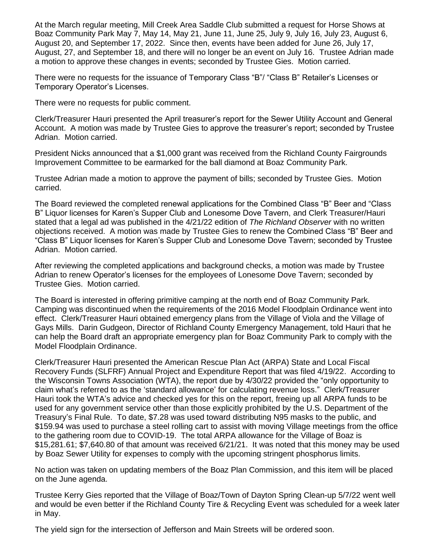At the March regular meeting, Mill Creek Area Saddle Club submitted a request for Horse Shows at Boaz Community Park May 7, May 14, May 21, June 11, June 25, July 9, July 16, July 23, August 6, August 20, and September 17, 2022. Since then, events have been added for June 26, July 17, August, 27, and September 18, and there will no longer be an event on July 16. Trustee Adrian made a motion to approve these changes in events; seconded by Trustee Gies. Motion carried.

There were no requests for the issuance of Temporary Class "B"/ "Class B" Retailer's Licenses or Temporary Operator's Licenses.

There were no requests for public comment.

Clerk/Treasurer Hauri presented the April treasurer's report for the Sewer Utility Account and General Account. A motion was made by Trustee Gies to approve the treasurer's report; seconded by Trustee Adrian. Motion carried.

President Nicks announced that a \$1,000 grant was received from the Richland County Fairgrounds Improvement Committee to be earmarked for the ball diamond at Boaz Community Park.

Trustee Adrian made a motion to approve the payment of bills; seconded by Trustee Gies. Motion carried.

The Board reviewed the completed renewal applications for the Combined Class "B" Beer and "Class B" Liquor licenses for Karen's Supper Club and Lonesome Dove Tavern, and Clerk Treasurer/Hauri stated that a legal ad was published in the 4/21/22 edition of *The Richland Observer* with no written objections received. A motion was made by Trustee Gies to renew the Combined Class "B" Beer and "Class B" Liquor licenses for Karen's Supper Club and Lonesome Dove Tavern; seconded by Trustee Adrian. Motion carried.

After reviewing the completed applications and background checks, a motion was made by Trustee Adrian to renew Operator's licenses for the employees of Lonesome Dove Tavern; seconded by Trustee Gies. Motion carried.

The Board is interested in offering primitive camping at the north end of Boaz Community Park. Camping was discontinued when the requirements of the 2016 Model Floodplain Ordinance went into effect. Clerk/Treasurer Hauri obtained emergency plans from the Village of Viola and the Village of Gays Mills. Darin Gudgeon, Director of Richland County Emergency Management, told Hauri that he can help the Board draft an appropriate emergency plan for Boaz Community Park to comply with the Model Floodplain Ordinance.

Clerk/Treasurer Hauri presented the American Rescue Plan Act (ARPA) State and Local Fiscal Recovery Funds (SLFRF) Annual Project and Expenditure Report that was filed 4/19/22. According to the Wisconsin Towns Association (WTA), the report due by 4/30/22 provided the "only opportunity to claim what's referred to as the 'standard allowance' for calculating revenue loss." Clerk/Treasurer Hauri took the WTA's advice and checked yes for this on the report, freeing up all ARPA funds to be used for any government service other than those explicitly prohibited by the U.S. Department of the Treasury's Final Rule. To date, \$7.28 was used toward distributing N95 masks to the public, and \$159.94 was used to purchase a steel rolling cart to assist with moving Village meetings from the office to the gathering room due to COVID-19. The total ARPA allowance for the Village of Boaz is \$15,281.61; \$7,640.80 of that amount was received 6/21/21. It was noted that this money may be used by Boaz Sewer Utility for expenses to comply with the upcoming stringent phosphorus limits.

No action was taken on updating members of the Boaz Plan Commission, and this item will be placed on the June agenda.

Trustee Kerry Gies reported that the Village of Boaz/Town of Dayton Spring Clean-up 5/7/22 went well and would be even better if the Richland County Tire & Recycling Event was scheduled for a week later in May.

The yield sign for the intersection of Jefferson and Main Streets will be ordered soon.